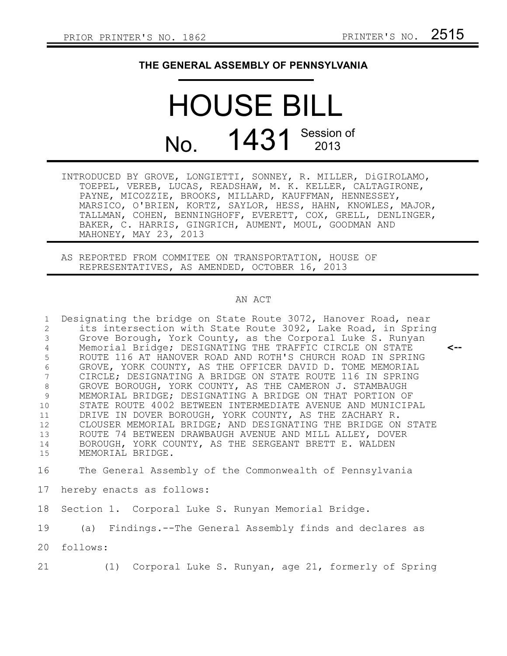## **THE GENERAL ASSEMBLY OF PENNSYLVANIA**

## HOUSE BILL No. 1431 Session of

- INTRODUCED BY GROVE, LONGIETTI, SONNEY, R. MILLER, DiGIROLAMO, TOEPEL, VEREB, LUCAS, READSHAW, M. K. KELLER, CALTAGIRONE, PAYNE, MICOZZIE, BROOKS, MILLARD, KAUFFMAN, HENNESSEY, MARSICO, O'BRIEN, KORTZ, SAYLOR, HESS, HAHN, KNOWLES, MAJOR, TALLMAN, COHEN, BENNINGHOFF, EVERETT, COX, GRELL, DENLINGER, BAKER, C. HARRIS, GINGRICH, AUMENT, MOUL, GOODMAN AND MAHONEY, MAY 23, 2013
- AS REPORTED FROM COMMITEE ON TRANSPORTATION, HOUSE OF REPRESENTATIVES, AS AMENDED, OCTOBER 16, 2013

## AN ACT

Designating the bridge on State Route 3072, Hanover Road, near its intersection with State Route 3092, Lake Road, in Spring Grove Borough, York County, as the Corporal Luke S. Runyan Memorial Bridge; DESIGNATING THE TRAFFIC CIRCLE ON STATE ROUTE 116 AT HANOVER ROAD AND ROTH'S CHURCH ROAD IN SPRING GROVE, YORK COUNTY, AS THE OFFICER DAVID D. TOME MEMORIAL CIRCLE; DESIGNATING A BRIDGE ON STATE ROUTE 116 IN SPRING GROVE BOROUGH, YORK COUNTY, AS THE CAMERON J. STAMBAUGH MEMORIAL BRIDGE; DESIGNATING A BRIDGE ON THAT PORTION OF STATE ROUTE 4002 BETWEEN INTERMEDIATE AVENUE AND MUNICIPAL DRIVE IN DOVER BOROUGH, YORK COUNTY, AS THE ZACHARY R. CLOUSER MEMORIAL BRIDGE; AND DESIGNATING THE BRIDGE ON STATE ROUTE 74 BETWEEN DRAWBAUGH AVENUE AND MILL ALLEY, DOVER BOROUGH, YORK COUNTY, AS THE SERGEANT BRETT E. WALDEN MEMORIAL BRIDGE. The General Assembly of the Commonwealth of Pennsylvania hereby enacts as follows: **<--** 1 2 3 4 5 6 7 8 9 10 11 12 13 14 15 16 17

Section 1. Corporal Luke S. Runyan Memorial Bridge. 18

(a) Findings.--The General Assembly finds and declares as 19

follows: 20

(1) Corporal Luke S. Runyan, age 21, formerly of Spring 21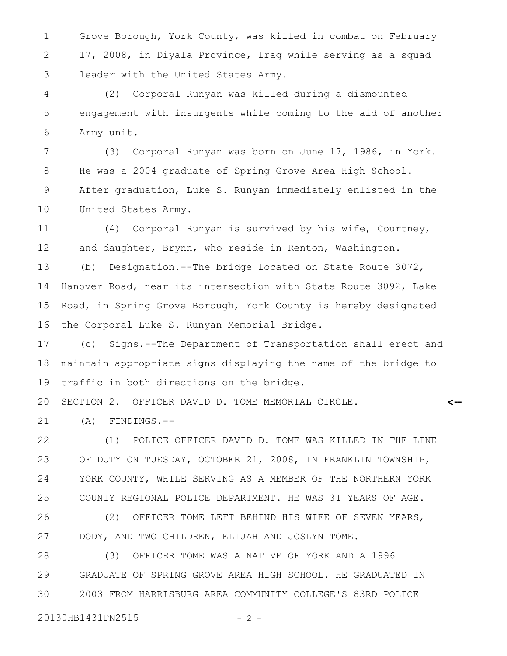Grove Borough, York County, was killed in combat on February 17, 2008, in Diyala Province, Iraq while serving as a squad leader with the United States Army. 1 2 3

(2) Corporal Runyan was killed during a dismounted engagement with insurgents while coming to the aid of another Army unit. 4 5 6

(3) Corporal Runyan was born on June 17, 1986, in York. He was a 2004 graduate of Spring Grove Area High School. After graduation, Luke S. Runyan immediately enlisted in the United States Army. 7 8 9 10

(4) Corporal Runyan is survived by his wife, Courtney, and daughter, Brynn, who reside in Renton, Washington. 11 12

(b) Designation.--The bridge located on State Route 3072, Hanover Road, near its intersection with State Route 3092, Lake Road, in Spring Grove Borough, York County is hereby designated the Corporal Luke S. Runyan Memorial Bridge. 13 14 15 16

(c) Signs.--The Department of Transportation shall erect and maintain appropriate signs displaying the name of the bridge to traffic in both directions on the bridge. 17 18 19

**<--**

SECTION 2. OFFICER DAVID D. TOME MEMORIAL CIRCLE. 20

(A) FINDINGS.-- 21

(1) POLICE OFFICER DAVID D. TOME WAS KILLED IN THE LINE OF DUTY ON TUESDAY, OCTOBER 21, 2008, IN FRANKLIN TOWNSHIP, YORK COUNTY, WHILE SERVING AS A MEMBER OF THE NORTHERN YORK COUNTY REGIONAL POLICE DEPARTMENT. HE WAS 31 YEARS OF AGE. 22 23 24 25

(2) OFFICER TOME LEFT BEHIND HIS WIFE OF SEVEN YEARS, DODY, AND TWO CHILDREN, ELIJAH AND JOSLYN TOME. 26 27

(3) OFFICER TOME WAS A NATIVE OF YORK AND A 1996 GRADUATE OF SPRING GROVE AREA HIGH SCHOOL. HE GRADUATED IN 2003 FROM HARRISBURG AREA COMMUNITY COLLEGE'S 83RD POLICE 28 29 30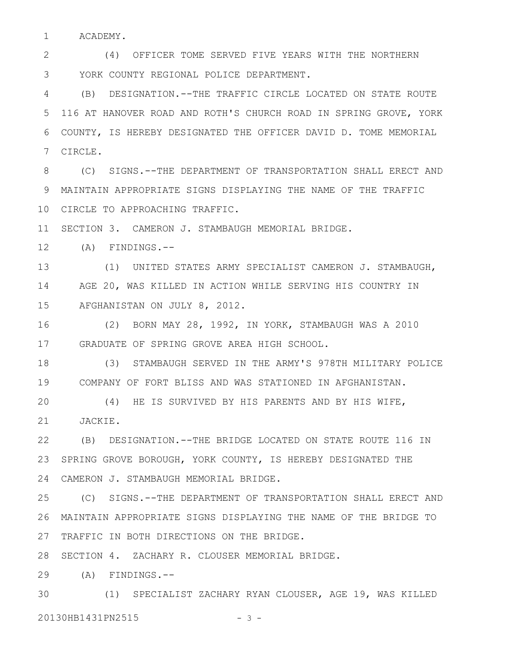ACADEMY. 1

(4) OFFICER TOME SERVED FIVE YEARS WITH THE NORTHERN YORK COUNTY REGIONAL POLICE DEPARTMENT. 2 3

(B) DESIGNATION.--THE TRAFFIC CIRCLE LOCATED ON STATE ROUTE 116 AT HANOVER ROAD AND ROTH'S CHURCH ROAD IN SPRING GROVE, YORK COUNTY, IS HEREBY DESIGNATED THE OFFICER DAVID D. TOME MEMORIAL CIRCLE. 4 5 6 7

(C) SIGNS.--THE DEPARTMENT OF TRANSPORTATION SHALL ERECT AND MAINTAIN APPROPRIATE SIGNS DISPLAYING THE NAME OF THE TRAFFIC 9 10 CIRCLE TO APPROACHING TRAFFIC. 8

SECTION 3. CAMERON J. STAMBAUGH MEMORIAL BRIDGE. 11

(A) FINDINGS.-- 12

(1) UNITED STATES ARMY SPECIALIST CAMERON J. STAMBAUGH, AGE 20, WAS KILLED IN ACTION WHILE SERVING HIS COUNTRY IN AFGHANISTAN ON JULY 8, 2012. 13 14 15

(2) BORN MAY 28, 1992, IN YORK, STAMBAUGH WAS A 2010 GRADUATE OF SPRING GROVE AREA HIGH SCHOOL. 16 17

(3) STAMBAUGH SERVED IN THE ARMY'S 978TH MILITARY POLICE COMPANY OF FORT BLISS AND WAS STATIONED IN AFGHANISTAN. 19 18

(4) HE IS SURVIVED BY HIS PARENTS AND BY HIS WIFE, JACKIE. 20 21

(B) DESIGNATION.--THE BRIDGE LOCATED ON STATE ROUTE 116 IN SPRING GROVE BOROUGH, YORK COUNTY, IS HEREBY DESIGNATED THE CAMERON J. STAMBAUGH MEMORIAL BRIDGE. 24 22 23

(C) SIGNS.--THE DEPARTMENT OF TRANSPORTATION SHALL ERECT AND MAINTAIN APPROPRIATE SIGNS DISPLAYING THE NAME OF THE BRIDGE TO 27 TRAFFIC IN BOTH DIRECTIONS ON THE BRIDGE. 25 26

28 SECTION 4. ZACHARY R. CLOUSER MEMORIAL BRIDGE.

(A) FINDINGS.-- 29

(1) SPECIALIST ZACHARY RYAN CLOUSER, AGE 19, WAS KILLED 20130HB1431PN2515 - 3 -30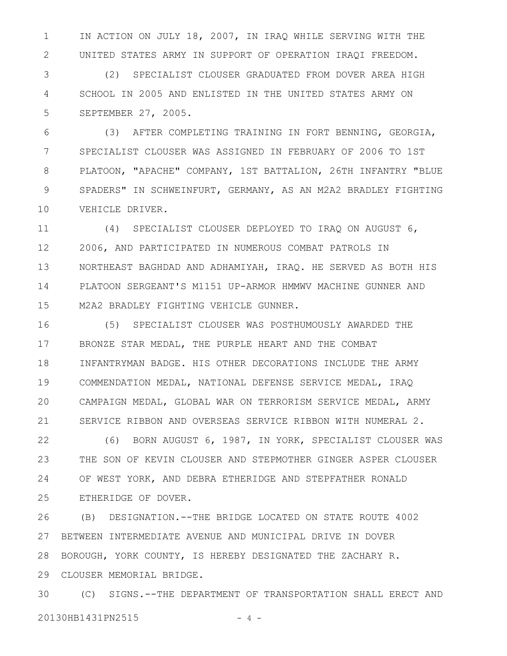IN ACTION ON JULY 18, 2007, IN IRAQ WHILE SERVING WITH THE UNITED STATES ARMY IN SUPPORT OF OPERATION IRAQI FREEDOM. 1 2

(2) SPECIALIST CLOUSER GRADUATED FROM DOVER AREA HIGH SCHOOL IN 2005 AND ENLISTED IN THE UNITED STATES ARMY ON SEPTEMBER 27, 2005. 3 4 5

(3) AFTER COMPLETING TRAINING IN FORT BENNING, GEORGIA, SPECIALIST CLOUSER WAS ASSIGNED IN FEBRUARY OF 2006 TO 1ST PLATOON, "APACHE" COMPANY, 1ST BATTALION, 26TH INFANTRY "BLUE SPADERS" IN SCHWEINFURT, GERMANY, AS AN M2A2 BRADLEY FIGHTING VEHICLE DRIVER. 6 7 8 9 10

(4) SPECIALIST CLOUSER DEPLOYED TO IRAQ ON AUGUST 6, 2006, AND PARTICIPATED IN NUMEROUS COMBAT PATROLS IN NORTHEAST BAGHDAD AND ADHAMIYAH, IRAQ. HE SERVED AS BOTH HIS PLATOON SERGEANT'S M1151 UP-ARMOR HMMWV MACHINE GUNNER AND M2A2 BRADLEY FIGHTING VEHICLE GUNNER. 11 12 13 14 15

(5) SPECIALIST CLOUSER WAS POSTHUMOUSLY AWARDED THE BRONZE STAR MEDAL, THE PURPLE HEART AND THE COMBAT INFANTRYMAN BADGE. HIS OTHER DECORATIONS INCLUDE THE ARMY COMMENDATION MEDAL, NATIONAL DEFENSE SERVICE MEDAL, IRAQ CAMPAIGN MEDAL, GLOBAL WAR ON TERRORISM SERVICE MEDAL, ARMY SERVICE RIBBON AND OVERSEAS SERVICE RIBBON WITH NUMERAL 2. 16 17 18 19 20 21

(6) BORN AUGUST 6, 1987, IN YORK, SPECIALIST CLOUSER WAS THE SON OF KEVIN CLOUSER AND STEPMOTHER GINGER ASPER CLOUSER OF WEST YORK, AND DEBRA ETHERIDGE AND STEPFATHER RONALD ETHERIDGE OF DOVER. 22 23 24 25

(B) DESIGNATION.--THE BRIDGE LOCATED ON STATE ROUTE 4002 BETWEEN INTERMEDIATE AVENUE AND MUNICIPAL DRIVE IN DOVER BOROUGH, YORK COUNTY, IS HEREBY DESIGNATED THE ZACHARY R. CLOUSER MEMORIAL BRIDGE. 29 26 27 28

(C) SIGNS.--THE DEPARTMENT OF TRANSPORTATION SHALL ERECT AND 20130HB1431PN2515 - 4 -30